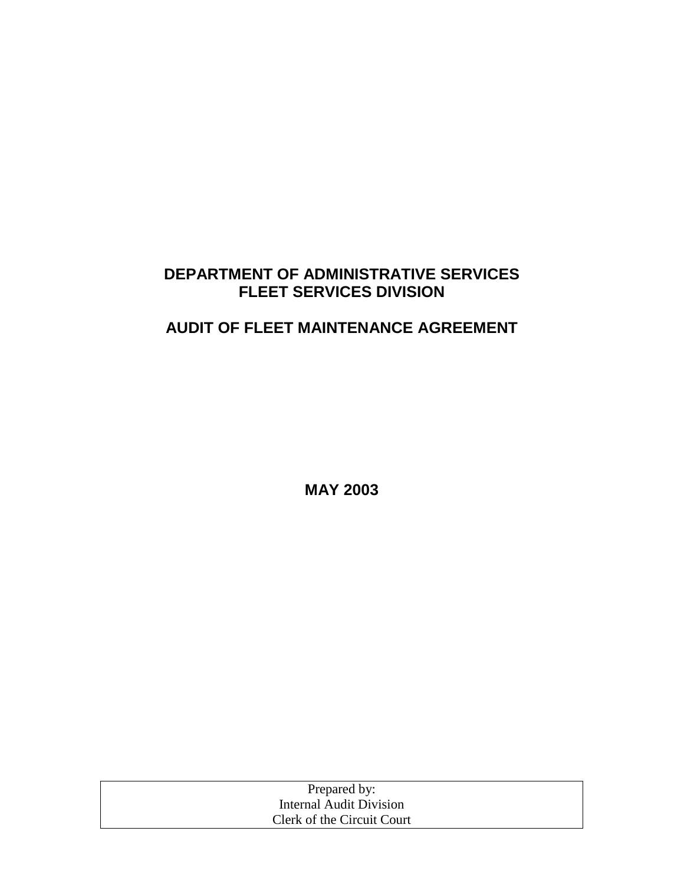### **DEPARTMENT OF ADMINISTRATIVE SERVICES FLEET SERVICES DIVISION**

## **AUDIT OF FLEET MAINTENANCE AGREEMENT**

**MAY 2003** 

| Prepared by:               |  |
|----------------------------|--|
| Internal Audit Division    |  |
| Clerk of the Circuit Court |  |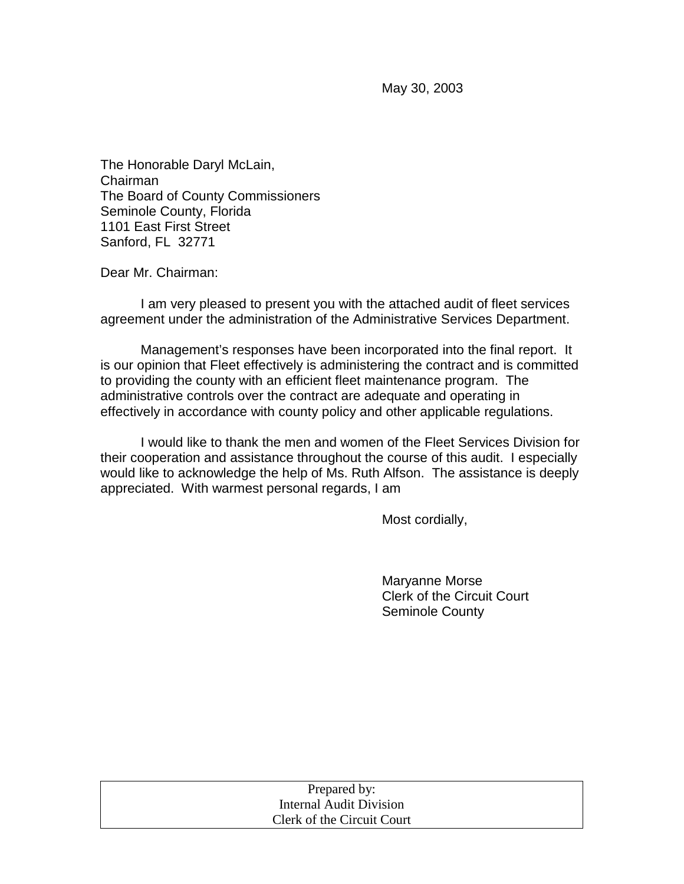May 30, 2003

The Honorable Daryl McLain, Chairman The Board of County Commissioners Seminole County, Florida 1101 East First Street Sanford, FL 32771

Dear Mr. Chairman:

 I am very pleased to present you with the attached audit of fleet services agreement under the administration of the Administrative Services Department.

 Management's responses have been incorporated into the final report. It is our opinion that Fleet effectively is administering the contract and is committed to providing the county with an efficient fleet maintenance program. The administrative controls over the contract are adequate and operating in effectively in accordance with county policy and other applicable regulations.

I would like to thank the men and women of the Fleet Services Division for their cooperation and assistance throughout the course of this audit. I especially would like to acknowledge the help of Ms. Ruth Alfson. The assistance is deeply appreciated. With warmest personal regards, I am

Most cordially,

 Maryanne Morse Clerk of the Circuit Court Seminole County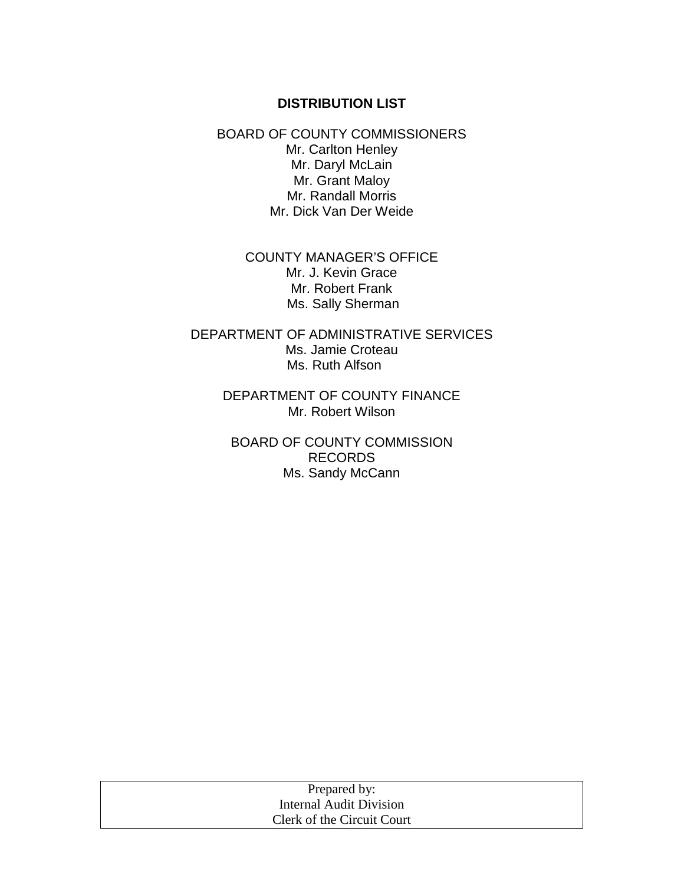#### **DISTRIBUTION LIST**

BOARD OF COUNTY COMMISSIONERS Mr. Carlton Henley Mr. Daryl McLain Mr. Grant Maloy Mr. Randall Morris Mr. Dick Van Der Weide

> COUNTY MANAGER'S OFFICE Mr. J. Kevin Grace Mr. Robert Frank Ms. Sally Sherman

DEPARTMENT OF ADMINISTRATIVE SERVICES Ms. Jamie Croteau Ms. Ruth Alfson

> DEPARTMENT OF COUNTY FINANCE Mr. Robert Wilson

BOARD OF COUNTY COMMISSION RECORDS Ms. Sandy McCann

| Prepared by:               |
|----------------------------|
| Internal Audit Division    |
| Clerk of the Circuit Court |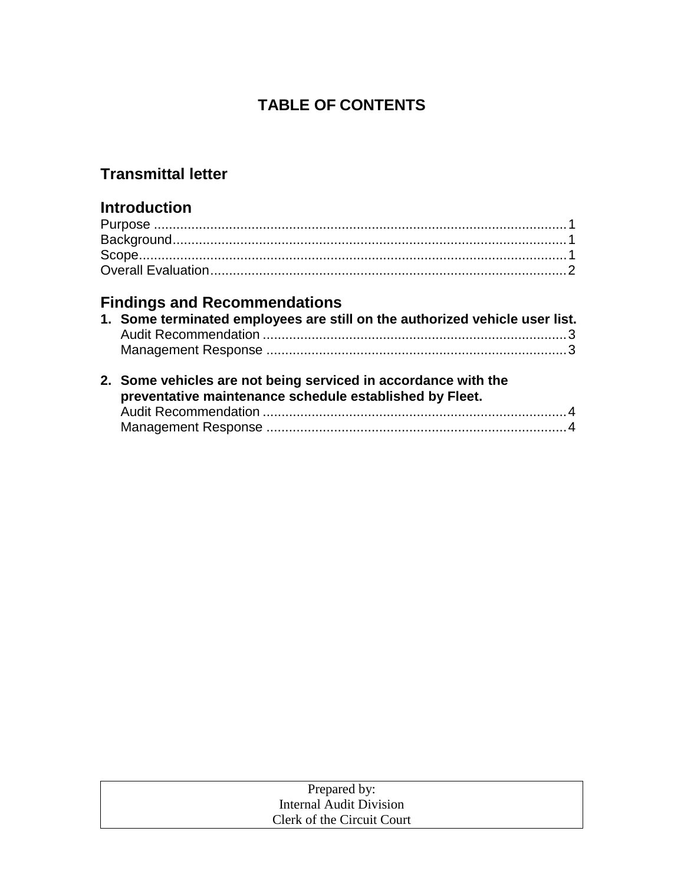## **TABLE OF CONTENTS**

## **Transmittal letter**

## **Introduction**

# **Findings and Recommendations**

| 1. Some terminated employees are still on the authorized vehicle user list. |  |
|-----------------------------------------------------------------------------|--|
|                                                                             |  |
|                                                                             |  |

| 2. Some vehicles are not being serviced in accordance with the<br>preventative maintenance schedule established by Fleet. |
|---------------------------------------------------------------------------------------------------------------------------|
|                                                                                                                           |
|                                                                                                                           |

| Prepared by:               |  |
|----------------------------|--|
| Internal Audit Division    |  |
| Clerk of the Circuit Court |  |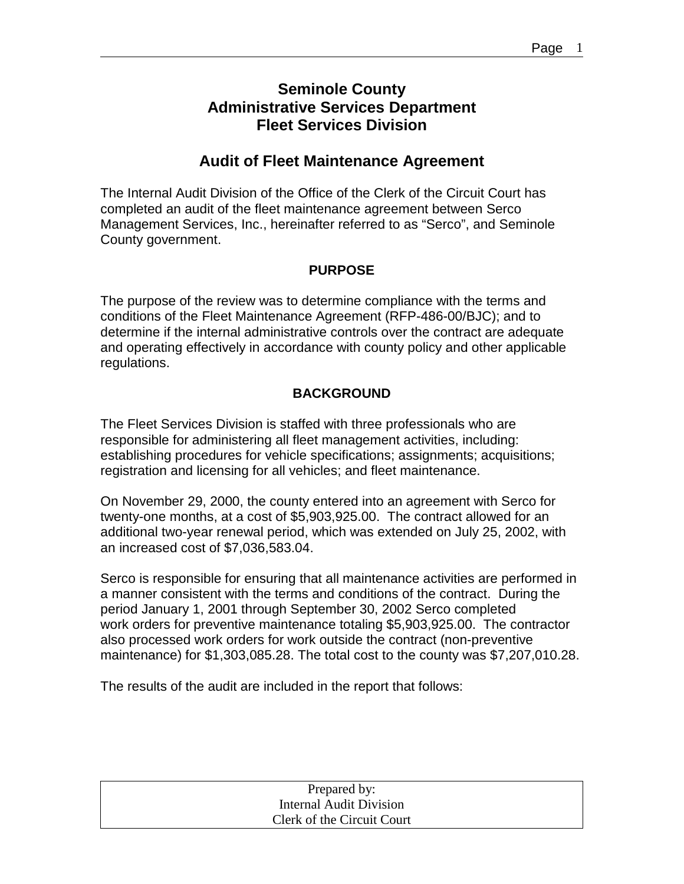### **Seminole County Administrative Services Department Fleet Services Division**

### **Audit of Fleet Maintenance Agreement**

The Internal Audit Division of the Office of the Clerk of the Circuit Court has completed an audit of the fleet maintenance agreement between Serco Management Services, Inc., hereinafter referred to as "Serco", and Seminole County government.

#### **PURPOSE**

The purpose of the review was to determine compliance with the terms and conditions of the Fleet Maintenance Agreement (RFP-486-00/BJC); and to determine if the internal administrative controls over the contract are adequate and operating effectively in accordance with county policy and other applicable regulations.

#### **BACKGROUND**

The Fleet Services Division is staffed with three professionals who are responsible for administering all fleet management activities, including: establishing procedures for vehicle specifications; assignments; acquisitions; registration and licensing for all vehicles; and fleet maintenance.

On November 29, 2000, the county entered into an agreement with Serco for twenty-one months, at a cost of \$5,903,925.00. The contract allowed for an additional two-year renewal period, which was extended on July 25, 2002, with an increased cost of \$7,036,583.04.

Serco is responsible for ensuring that all maintenance activities are performed in a manner consistent with the terms and conditions of the contract. During the period January 1, 2001 through September 30, 2002 Serco completed work orders for preventive maintenance totaling \$5,903,925.00. The contractor also processed work orders for work outside the contract (non-preventive maintenance) for \$1,303,085.28. The total cost to the county was \$7,207,010.28.

The results of the audit are included in the report that follows:

| Prepared by:               |
|----------------------------|
| Internal Audit Division    |
| Clerk of the Circuit Court |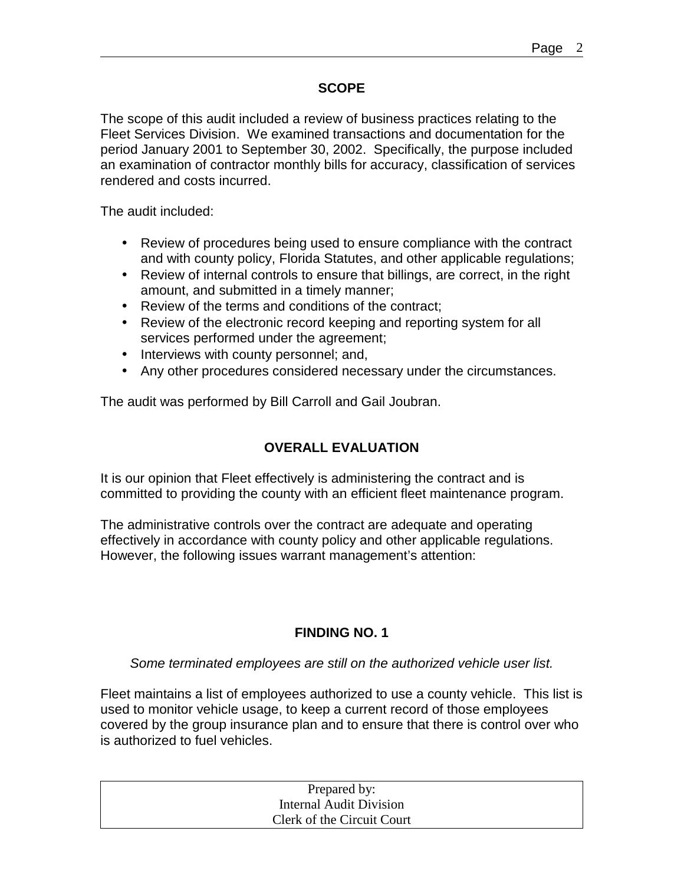#### **SCOPE**

The scope of this audit included a review of business practices relating to the Fleet Services Division. We examined transactions and documentation for the period January 2001 to September 30, 2002. Specifically, the purpose included an examination of contractor monthly bills for accuracy, classification of services rendered and costs incurred.

The audit included:

- Review of procedures being used to ensure compliance with the contract and with county policy, Florida Statutes, and other applicable regulations;
- Review of internal controls to ensure that billings, are correct, in the right amount, and submitted in a timely manner;
- Review of the terms and conditions of the contract;
- Review of the electronic record keeping and reporting system for all services performed under the agreement;
- Interviews with county personnel; and,
- Any other procedures considered necessary under the circumstances.

The audit was performed by Bill Carroll and Gail Joubran.

#### **OVERALL EVALUATION**

It is our opinion that Fleet effectively is administering the contract and is committed to providing the county with an efficient fleet maintenance program.

The administrative controls over the contract are adequate and operating effectively in accordance with county policy and other applicable regulations. However, the following issues warrant management's attention:

#### **FINDING NO. 1**

*Some terminated employees are still on the authorized vehicle user list.* 

Fleet maintains a list of employees authorized to use a county vehicle. This list is used to monitor vehicle usage, to keep a current record of those employees covered by the group insurance plan and to ensure that there is control over who is authorized to fuel vehicles.

| Prepared by:               |  |
|----------------------------|--|
| Internal Audit Division    |  |
| Clerk of the Circuit Court |  |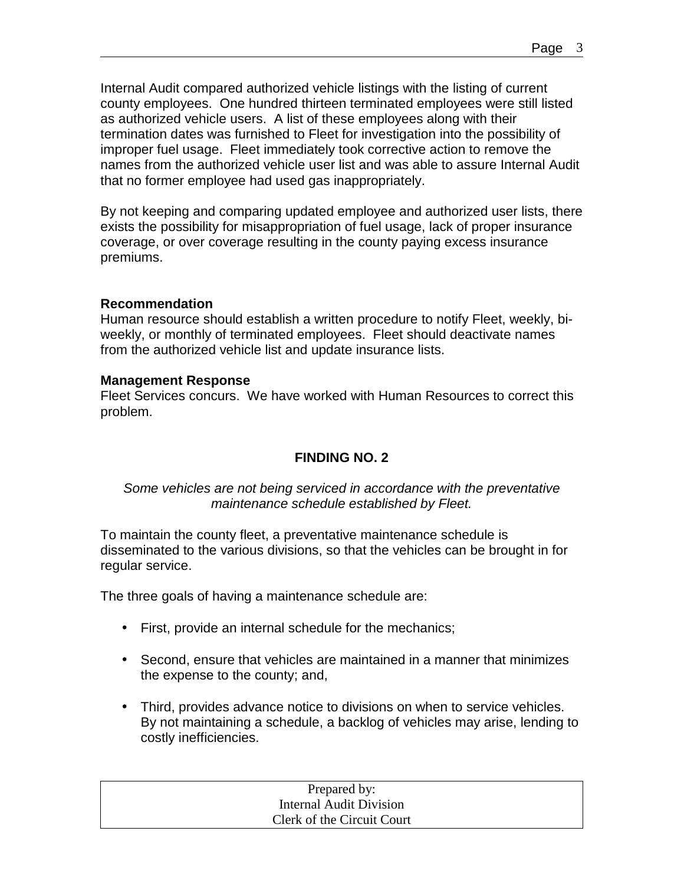Internal Audit compared authorized vehicle listings with the listing of current county employees. One hundred thirteen terminated employees were still listed as authorized vehicle users. A list of these employees along with their termination dates was furnished to Fleet for investigation into the possibility of improper fuel usage. Fleet immediately took corrective action to remove the names from the authorized vehicle user list and was able to assure Internal Audit that no former employee had used gas inappropriately.

By not keeping and comparing updated employee and authorized user lists, there exists the possibility for misappropriation of fuel usage, lack of proper insurance coverage, or over coverage resulting in the county paying excess insurance premiums.

#### **Recommendation**

Human resource should establish a written procedure to notify Fleet, weekly, biweekly, or monthly of terminated employees. Fleet should deactivate names from the authorized vehicle list and update insurance lists.

#### **Management Response**

Fleet Services concurs. We have worked with Human Resources to correct this problem.

#### **FINDING NO. 2**

#### *Some vehicles are not being serviced in accordance with the preventative maintenance schedule established by Fleet.*

To maintain the county fleet, a preventative maintenance schedule is disseminated to the various divisions, so that the vehicles can be brought in for regular service.

The three goals of having a maintenance schedule are:

- First, provide an internal schedule for the mechanics;
- Second, ensure that vehicles are maintained in a manner that minimizes the expense to the county; and,
- Third, provides advance notice to divisions on when to service vehicles. By not maintaining a schedule, a backlog of vehicles may arise, lending to costly inefficiencies.